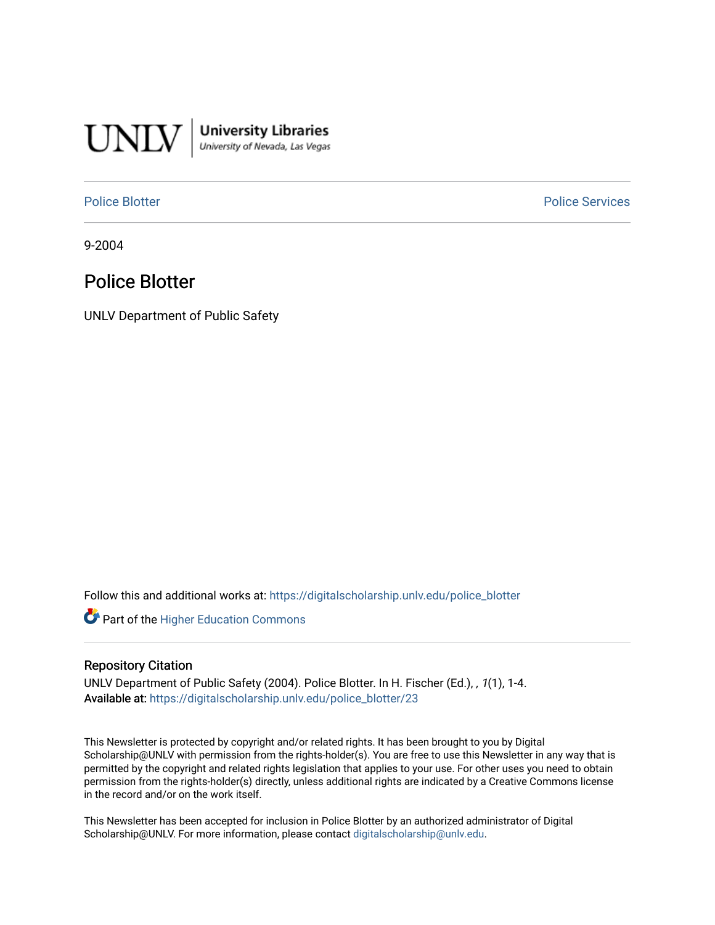

**University Libraries**<br>University of Nevada, Las Vegas

[Police Blotter](https://digitalscholarship.unlv.edu/police_blotter) **Police Services Police Services** 

9-2004

# Police Blotter

UNLV Department of Public Safety

Follow this and additional works at: [https://digitalscholarship.unlv.edu/police\\_blotter](https://digitalscholarship.unlv.edu/police_blotter?utm_source=digitalscholarship.unlv.edu%2Fpolice_blotter%2F23&utm_medium=PDF&utm_campaign=PDFCoverPages) 

**Part of the Higher Education Commons** 

### Repository Citation

UNLV Department of Public Safety (2004). Police Blotter. In H. Fischer (Ed.), , 1(1), 1-4. Available at: [https://digitalscholarship.unlv.edu/police\\_blotter/23](https://digitalscholarship.unlv.edu/police_blotter/23)

This Newsletter is protected by copyright and/or related rights. It has been brought to you by Digital Scholarship@UNLV with permission from the rights-holder(s). You are free to use this Newsletter in any way that is permitted by the copyright and related rights legislation that applies to your use. For other uses you need to obtain permission from the rights-holder(s) directly, unless additional rights are indicated by a Creative Commons license in the record and/or on the work itself.

This Newsletter has been accepted for inclusion in Police Blotter by an authorized administrator of Digital Scholarship@UNLV. For more information, please contact [digitalscholarship@unlv.edu.](mailto:digitalscholarship@unlv.edu)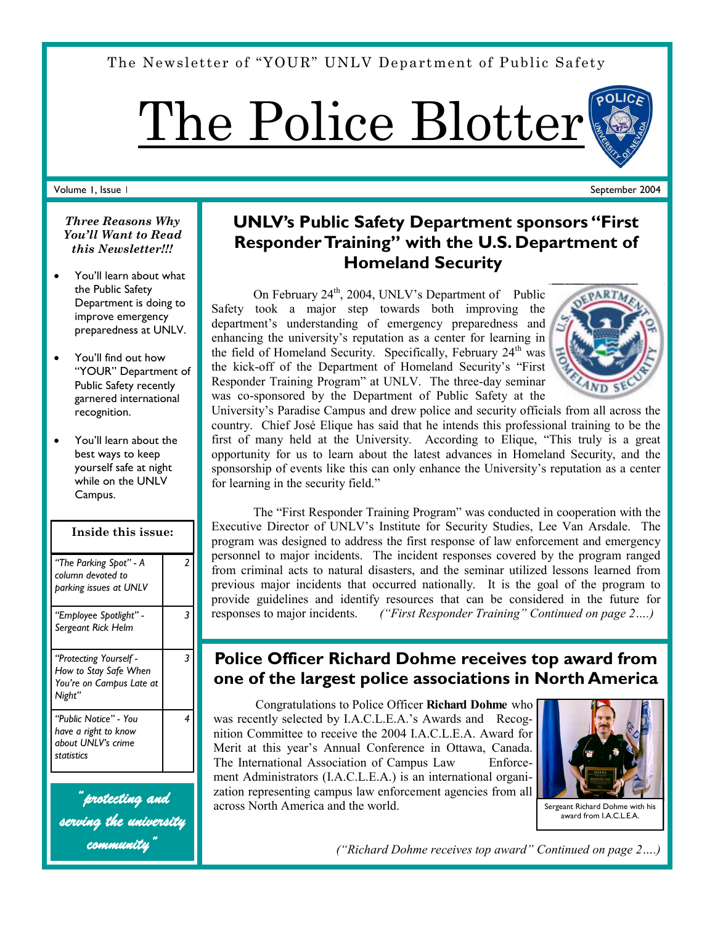The Newsletter of "YOUR" UNLV Department of Public Safety

The Police Blotter

### Volume 1, Issue 1

# **UNLV's Public Safety Department sponsors "First Responder Training" with the U.S. Department of Homeland Security**

On February  $24<sup>th</sup>$ , 2004, UNLV's Department of Public Safety took a major step towards both improving the department's understanding of emergency preparedness and enhancing the university's reputation as a center for learning in the field of Homeland Security. Specifically, February  $24<sup>th</sup>$  was the kick-off of the Department of Homeland Security's "First Responder Training Program" at UNLV. The three-day seminar was co-sponsored by the Department of Public Safety at the



September 2004

University's Paradise Campus and drew police and security officials from all across the country. Chief José Elique has said that he intends this professional training to be the first of many held at the University. According to Elique, "This truly is a great opportunity for us to learn about the latest advances in Homeland Security, and the sponsorship of events like this can only enhance the University's reputation as a center for learning in the security field."

The "First Responder Training Program" was conducted in cooperation with the Executive Director of UNLV's Institute for Security Studies, Lee Van Arsdale. The program was designed to address the first response of law enforcement and emergency personnel to major incidents. The incident responses covered by the program ranged from criminal acts to natural disasters, and the seminar utilized lessons learned from previous major incidents that occurred nationally. It is the goal of the program to provide guidelines and identify resources that can be considered in the future for responses to major incidents. *("First Responder Training" Continued on page 2….)*

# **Police Officer Richard Dohme receives top award from one of the largest police associations in North America**

Congratulations to Police Officer **Richard Dohme** who was recently selected by I.A.C.L.E.A.'s Awards and Recognition Committee to receive the 2004 I.A.C.L.E.A. Award for Merit at this year's Annual Conference in Ottawa, Canada. The International Association of Campus Law Enforcement Administrators (I.A.C.L.E.A.) is an international organization representing campus law enforcement agencies from all across North America and the world.



Sergeant Richard Dohme with his award from I.A.C.L.E.A.

*("Richard Dohme receives top award" Continued on page 2….)* 

### *Three Reasons Why You'll Want to Read this Newsletter!!!*

- You'll learn about what the Public Safety Department is doing to improve emergency preparedness at UNLV.
- You'll find out how "YOUR" Department of Public Safety recently garnered international recognition.
- You'll learn about the best ways to keep yourself safe at night while on the UNLV Campus.

# *"The Parking Spot" - A column devoted to parking issues at UNLV 2 "Employee Spotlight" - Sergeant Rick Helm 3 "Protecting Yourself - How to Stay Safe When You're on Campus Late at Night" 3 "Public Notice" - You have a right to know about UNLV's crime statistics 4* **Inside this issue:**

*"protecting and serving the university community"*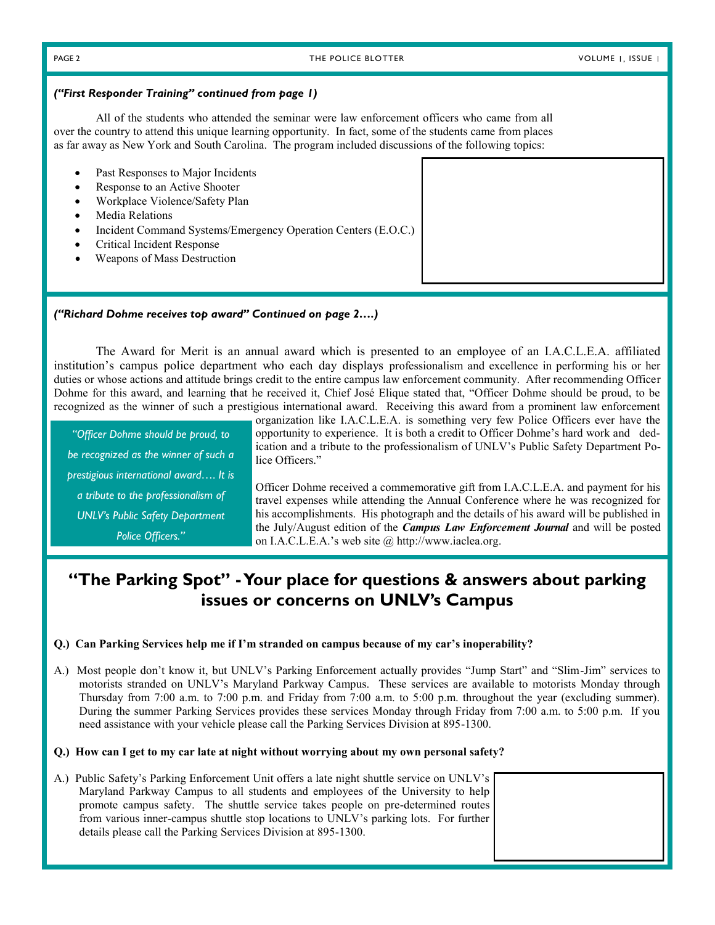#### PAGE 2 THE POLICE BLOTTER THE POLICE ACCEPTED AND MOLUME I, ISSUE I

#### *("First Responder Training" continued from page 1)*

All of the students who attended the seminar were law enforcement officers who came from all over the country to attend this unique learning opportunity. In fact, some of the students came from places as far away as New York and South Carolina. The program included discussions of the following topics:

- Past Responses to Major Incidents
- Response to an Active Shooter
- Workplace Violence/Safety Plan
- Media Relations
- Incident Command Systems/Emergency Operation Centers (E.O.C.)
- Critical Incident Response
- Weapons of Mass Destruction

### *("Richard Dohme receives top award" Continued on page 2….)*

The Award for Merit is an annual award which is presented to an employee of an I.A.C.L.E.A. affiliated institution's campus police department who each day displays professionalism and excellence in performing his or her duties or whose actions and attitude brings credit to the entire campus law enforcement community. After recommending Officer Dohme for this award, and learning that he received it, Chief José Elique stated that, "Officer Dohme should be proud, to be recognized as the winner of such a prestigious international award. Receiving this award from a prominent law enforcement

*"Officer Dohme should be proud, to be recognized as the winner of such a prestigious international award…. It is a tribute to the professionalism of UNLV's Public Safety Department Police Officers."*

organization like I.A.C.L.E.A. is something very few Police Officers ever have the opportunity to experience. It is both a credit to Officer Dohme's hard work and dedication and a tribute to the professionalism of UNLV's Public Safety Department Police Officers."

Officer Dohme received a commemorative gift from I.A.C.L.E.A. and payment for his travel expenses while attending the Annual Conference where he was recognized for his accomplishments. His photograph and the details of his award will be published in the July/August edition of the *Campus Law Enforcement Journal* and will be posted on I.A.C.L.E.A.'s web site @ http://www.iaclea.org.

# **"The Parking Spot" -Your place for questions & answers about parking issues or concerns on UNLV's Campus**

### **Q.) Can Parking Services help me if I'm stranded on campus because of my car's inoperability?**

A.) Most people don't know it, but UNLV's Parking Enforcement actually provides "Jump Start" and "Slim-Jim" services to motorists stranded on UNLV's Maryland Parkway Campus. These services are available to motorists Monday through Thursday from 7:00 a.m. to 7:00 p.m. and Friday from 7:00 a.m. to 5:00 p.m. throughout the year (excluding summer). During the summer Parking Services provides these services Monday through Friday from 7:00 a.m. to 5:00 p.m. If you need assistance with your vehicle please call the Parking Services Division at 895-1300.

#### **Q.) How can I get to my car late at night without worrying about my own personal safety?**

A.) Public Safety's Parking Enforcement Unit offers a late night shuttle service on UNLV's Maryland Parkway Campus to all students and employees of the University to help promote campus safety. The shuttle service takes people on pre-determined routes from various inner-campus shuttle stop locations to UNLV's parking lots. For further details please call the Parking Services Division at 895-1300.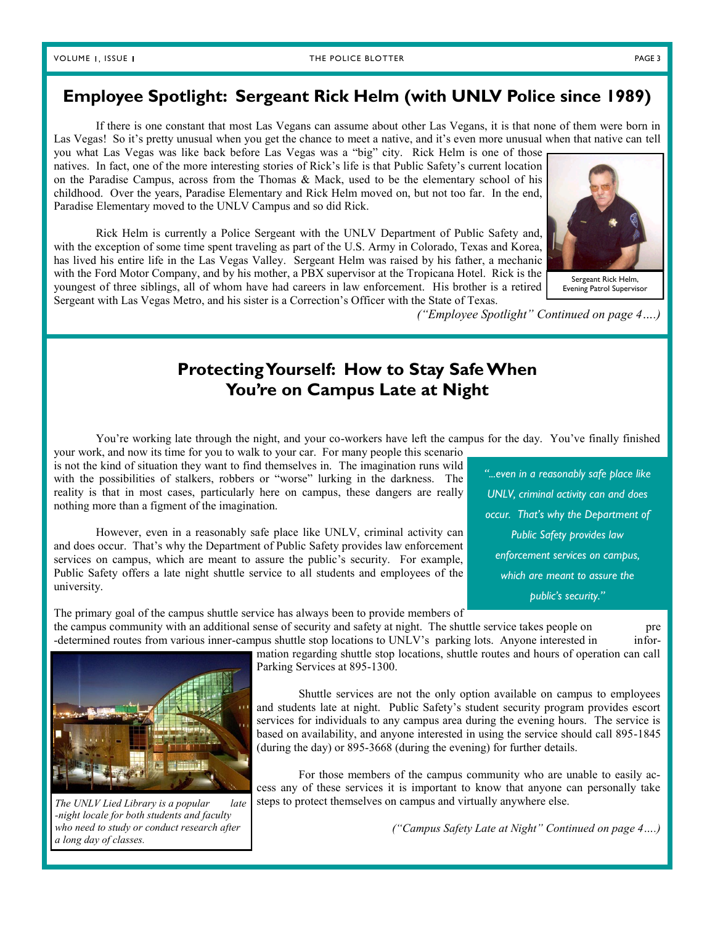# **Employee Spotlight: Sergeant Rick Helm (with UNLV Police since 1989)**

If there is one constant that most Las Vegans can assume about other Las Vegans, it is that none of them were born in Las Vegas! So it's pretty unusual when you get the chance to meet a native, and it's even more unusual when that native can tell

you what Las Vegas was like back before Las Vegas was a "big" city. Rick Helm is one of those natives. In fact, one of the more interesting stories of Rick's life is that Public Safety's current location on the Paradise Campus, across from the Thomas & Mack, used to be the elementary school of his childhood. Over the years, Paradise Elementary and Rick Helm moved on, but not too far. In the end, Paradise Elementary moved to the UNLV Campus and so did Rick.

Rick Helm is currently a Police Sergeant with the UNLV Department of Public Safety and, with the exception of some time spent traveling as part of the U.S. Army in Colorado, Texas and Korea, has lived his entire life in the Las Vegas Valley. Sergeant Helm was raised by his father, a mechanic with the Ford Motor Company, and by his mother, a PBX supervisor at the Tropicana Hotel. Rick is the youngest of three siblings, all of whom have had careers in law enforcement. His brother is a retired Sergeant with Las Vegas Metro, and his sister is a Correction's Officer with the State of Texas.



Sergeant Rick Helm, Evening Patrol Supervisor

*("Employee Spotlight" Continued on page 4….)*

# **Protecting Yourself: How to Stay Safe When You're on Campus Late at Night**

You're working late through the night, and your co-workers have left the campus for the day. You've finally finished your work, and now its time for you to walk to your car. For many people this scenario

is not the kind of situation they want to find themselves in. The imagination runs wild with the possibilities of stalkers, robbers or "worse" lurking in the darkness. The reality is that in most cases, particularly here on campus, these dangers are really nothing more than a figment of the imagination.

However, even in a reasonably safe place like UNLV, criminal activity can and does occur. That's why the Department of Public Safety provides law enforcement services on campus, which are meant to assure the public's security. For example, Public Safety offers a late night shuttle service to all students and employees of the university.

The primary goal of the campus shuttle service has always been to provide members of the campus community with an additional sense of security and safety at night. The shuttle service takes people on pre

-determined routes from various inner-campus shuttle stop locations to UNLV's parking lots. Anyone interested in infor-

mation regarding shuttle stop locations, shuttle routes and hours of operation can call Parking Services at 895-1300.

Shuttle services are not the only option available on campus to employees and students late at night. Public Safety's student security program provides escort services for individuals to any campus area during the evening hours. The service is based on availability, and anyone interested in using the service should call 895-1845 (during the day) or 895-3668 (during the evening) for further details.

For those members of the campus community who are unable to easily access any of these services it is important to know that anyone can personally take steps to protect themselves on campus and virtually anywhere else.

*("Campus Safety Late at Night" Continued on page 4….)*



*The UNLV Lied Library is a popular late -night locale for both students and faculty who need to study or conduct research after a long day of classes.*

*"...even in a reasonably safe place like UNLV, criminal activity can and does occur. That's why the Department of Public Safety provides law enforcement services on campus, which are meant to assure the public's security."*